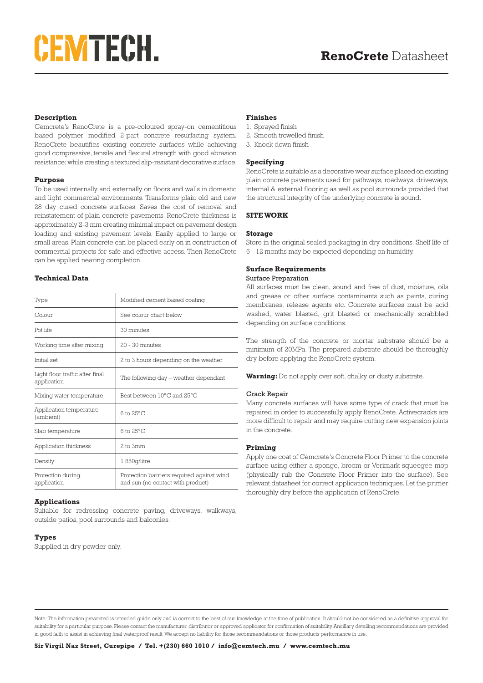# CEMTECH.

# **Description**

Cemcrete's RenoCrete is a pre-coloured spray-on cementitious based polymer modified 2-part concrete resurfacing system. RenoCrete beautifies existing concrete surfaces while achieving good compressive, tensile and flexural strength with good abrasion resistance; while creating a textured slip-resistant decorative surface.

#### **Purpose**

To be used internally and externally on floors and walls in domestic and light commercial environments. Transforms plain old and new 28 day cured concrete surfaces. Saves the cost of removal and reinstatement of plain concrete pavements. RenoCrete thickness is approximately 2-3 mm creating minimal impact on pavement design loading and existing pavement levels. Easily applied to large or small areas. Plain concrete can be placed early on in construction of commercial projects for safe and effective access. Then RenoCrete can be applied nearing completion.

# **Technical Data**

| Type                                           | Modified cement based coating                                                  |
|------------------------------------------------|--------------------------------------------------------------------------------|
| Colour                                         | See colour chart below                                                         |
| Pot life                                       | 30 minutes                                                                     |
| Working time after mixing                      | 20 - 30 minutes                                                                |
| Initial set                                    | 2 to 3 hours depending on the weather                                          |
| Light floor traffic after final<br>application | The following day – weather dependant                                          |
| Mixing water temperature                       | Best between 10°C and 25°C                                                     |
| Application temperature<br>(ambient)           | $6$ to $25^{\circ}$ C                                                          |
| Slab temperature                               | $6$ to $25^{\circ}$ C                                                          |
| Application thickness                          | $2$ to $3mm$                                                                   |
| Density                                        | 1850q/litre                                                                    |
| Protection during<br>application               | Protection barriers required against wind<br>and sun (no contact with product) |

# **Applications**

Suitable for redressing concrete paving, driveways, walkways, outside patios, pool surrounds and balconies.

# **Types**

Supplied in dry powder only.

# **Finishes**

- 1. Sprayed finish
- 2. Smooth trowelled finish
- 3. Knock down finish

#### **Specifying**

RenoCrete is suitable as a decorative wear surface placed on existing plain concrete pavements used for pathways, roadways, driveways, internal & external flooring as well as pool surrounds provided that the structural integrity of the underlying concrete is sound.

# **SITE WORK**

# **Storage**

Store in the original sealed packaging in dry conditions. Shelf life of 6 - 12 months may be expected depending on humidity.

#### **Surface Requirements** Surface Preparation

All surfaces must be clean, sound and free of dust, moisture, oils and grease or other surface contaminants such as paints, curing membranes, release agents etc. Concrete surfaces must be acid washed, water blasted, grit blasted or mechanically scrabbled depending on surface conditions.

The strength of the concrete or mortar substrate should be a minimum of 20MPa. The prepared substrate should be thoroughly dry before applying the RenoCrete system.

**Warning:** Do not apply over soft, chalky or dusty substrate.

#### Crack Repair

Many concrete surfaces will have some type of crack that must be repaired in order to successfully apply RenoCrete. Activecracks are more difficult to repair and may require cutting new expansion joints in the concrete.

# **Priming**

Apply one coat of Cemcrete's Concrete Floor Primer to the concrete surface using either a sponge, broom or Verimark squeegee mop (physically rub the Concrete Floor Primer into the surface). See relevant datasheet for correct application techniques. Let the primer thoroughly dry before the application of RenoCrete.

Note: The information presented is intended guide only and is correct to the best of our knowledge at the time of publication. It should not be considered as a definitive approval for suitability for a particular purpose. Please contact the manufacturer, distributor or approved applicator for confirmation of suitability. Ancillary detailing recommendations are provided in good faith to assist in achieving final waterproof result. We accept no liability for those recommendations or those products performance in use.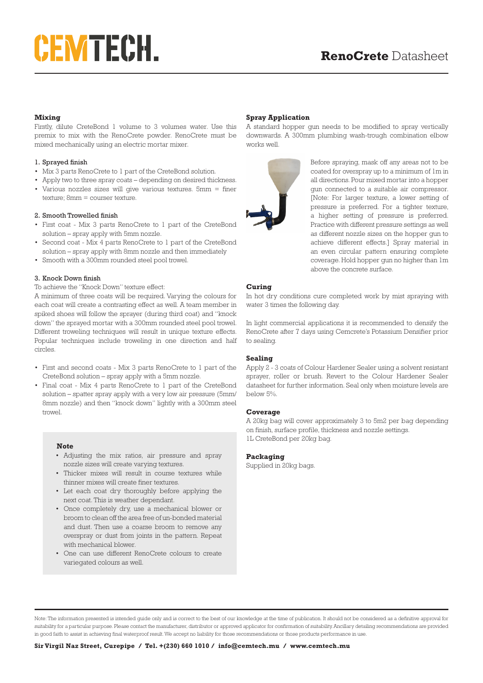# CEMTECH.

# **Mixing**

Firstly, dilute CreteBond 1 volume to 3 volumes water. Use this premix to mix with the RenoCrete powder. RenoCrete must be mixed mechanically using an electric mortar mixer.

# 1. Sprayed finish

- Mix 3 parts RenoCrete to 1 part of the CreteBond solution.
- Apply two to three spray coats depending on desired thickness. • Various nozzles sizes will give various textures. 5mm = finer texture; 8mm = courser texture.

#### 2. Smooth Trowelled finish

- First coat Mix 3 parts RenoCrete to 1 part of the CreteBond solution – spray apply with 5mm nozzle.
- Second coat Mix 4 parts RenoCrete to 1 part of the CreteBond solution – spray apply with 8mm nozzle and then immediately
- Smooth with a 300mm rounded steel pool trowel.

#### 3. Knock Down finish

#### To achieve the "Knock Down" texture effect:

A minimum of three coats will be required. Varying the colours for each coat will create a contrasting effect as well. A team member in spiked shoes will follow the sprayer (during third coat) and "knock down" the sprayed mortar with a 300mm rounded steel pool trowel. Different troweling techniques will result in unique texture effects. Popular techniques include troweling in one direction and half circles.

- First and second coats Mix 3 parts RenoCrete to 1 part of the CreteBond solution – spray apply with a 5mm nozzle.
- Final coat Mix 4 parts RenoCrete to 1 part of the CreteBond solution – spatter spray apply with a very low air pressure (5mm/ 8mm nozzle) and then "knock down" lightly with a 300mm steel trowel.

#### **Note**

- Adjusting the mix ratios, air pressure and spray nozzle sizes will create varying textures.
- Thicker mixes will result in course textures while thinner mixes will create finer textures.
- Let each coat dry thoroughly before applying the next coat. This is weather dependant.
- Once completely dry, use a mechanical blower or broom to clean off the area free of un-bonded material and dust. Then use a coarse broom to remove any overspray or dust from joints in the pattern. Repeat with mechanical blower.
- One can use different RenoCrete colours to create variegated colours as well.

# **Spray Application**

A standard hopper gun needs to be modified to spray vertically downwards. A 300mm plumbing wash-trough combination elbow works well.



Before spraying, mask off any areas not to be coated for overspray up to a minimum of 1m in all directions. Pour mixed mortar into a hopper gun connected to a suitable air compressor. [Note: For larger texture, a lower setting of pressure is preferred. For a tighter texture, a higher setting of pressure is preferred. Practice with different pressure settings as well as different nozzle sizes on the hopper gun to achieve different effects.] Spray material in an even circular pattern ensuring complete coverage. Hold hopper gun no higher than 1m above the concrete surface.

#### **Curing**

In hot dry conditions cure completed work by mist spraying with water 3 times the following day.

In light commercial applications it is recommended to densify the RenoCrete after 7 days using Cemcrete's Potassium Densifier prior to sealing.

### **Sealing**

Apply 2 - 3 coats of Colour Hardener Sealer using a solvent resistant sprayer, roller or brush. Revert to the Colour Hardener Sealer datasheet for further information. Seal only when moisture levels are below 5%.

#### **Coverage**

A 20kg bag will cover approximately 3 to 5m2 per bag depending on finish, surface profile, thickness and nozzle settings. 1L CreteBond per 20kg bag.

#### **Packaging**

Supplied in 20kg bags.

Note: The information presented is intended guide only and is correct to the best of our knowledge at the time of publication. It should not be considered as a definitive approval for suitability for a particular purpose. Please contact the manufacturer, distributor or approved applicator for confirmation of suitability. Ancillary detailing recommendations are provided in good faith to assist in achieving final waterproof result. We accept no liability for those recommendations or those products performance in use.